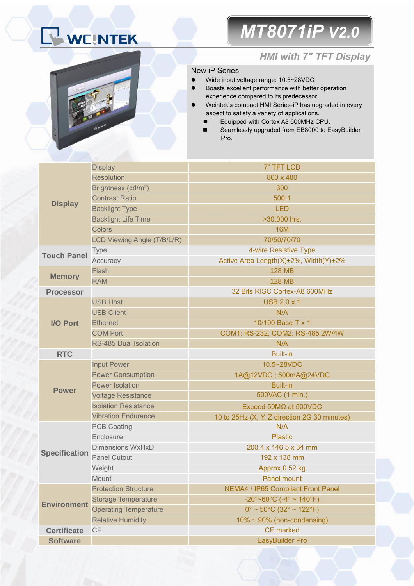# WEINTEK

### *MT8071iP V2.0*



### *HMI with 7" TFT Display*

#### New iP Series

- Wide input voltage range: 10.5~28VDC
- Boasts excellent performance with better operation experience compared to its predecessor.
- Weintek's compact HMI Series-iP has upgraded in every aspect to satisfy a variety of applications.
	- Equipped with Cortex A8 600MHz CPU.
	- Seamlessly upgraded from EB8000 to EasyBuilder Pro.

|                      | <b>Display</b>                  | 7" TFT LCD                                                       |  |  |
|----------------------|---------------------------------|------------------------------------------------------------------|--|--|
| <b>Display</b>       | <b>Resolution</b>               | 800 x 480                                                        |  |  |
|                      | Brightness (cd/m <sup>2</sup> ) | 300                                                              |  |  |
|                      | <b>Contrast Ratio</b>           | 500:1                                                            |  |  |
|                      | <b>Backlight Type</b>           | <b>LED</b>                                                       |  |  |
|                      | <b>Backlight Life Time</b>      | >30,000 hrs.                                                     |  |  |
|                      | <b>Colors</b>                   | <b>16M</b>                                                       |  |  |
|                      | LCD Viewing Angle (T/B/L/R)     | 70/50/70/70                                                      |  |  |
|                      | <b>Type</b>                     | 4-wire Resistive Type                                            |  |  |
| <b>Touch Panel</b>   | Accuracy                        | Active Area Length(X)±2%, Width(Y)±2%                            |  |  |
|                      | Flash                           | <b>128 MB</b>                                                    |  |  |
| <b>Memory</b>        | <b>RAM</b>                      | <b>128 MB</b>                                                    |  |  |
| <b>Processor</b>     |                                 | 32 Bits RISC Cortex-A8 600MHz                                    |  |  |
|                      | <b>USB Host</b>                 | <b>USB 2.0 x 1</b>                                               |  |  |
|                      | <b>USB Client</b>               | N/A                                                              |  |  |
| <b>I/O Port</b>      | <b>Ethernet</b>                 | 10/100 Base-T x 1                                                |  |  |
|                      | <b>COM Port</b>                 | COM1: RS-232, COM2: RS-485 2W/4W                                 |  |  |
|                      | RS-485 Dual Isolation           | N/A                                                              |  |  |
| <b>RTC</b>           |                                 | <b>Built-in</b>                                                  |  |  |
|                      | <b>Input Power</b>              | 10.5~28VDC                                                       |  |  |
|                      | <b>Power Consumption</b>        | 1A@12VDC; 500mA@24VDC                                            |  |  |
| <b>Power</b>         | <b>Power Isolation</b>          | <b>Built-in</b>                                                  |  |  |
|                      | <b>Voltage Resistance</b>       | 500VAC (1 min.)                                                  |  |  |
|                      | <b>Isolation Resistance</b>     | Exceed $50M\Omega$ at $500VDC$                                   |  |  |
|                      |                                 |                                                                  |  |  |
|                      | <b>Vibration Endurance</b>      | 10 to 25Hz (X, Y, Z direction 2G 30 minutes)                     |  |  |
|                      | <b>PCB Coating</b>              | N/A                                                              |  |  |
|                      | Enclosure                       | <b>Plastic</b>                                                   |  |  |
|                      | <b>Dimensions WxHxD</b>         | 200.4 x 146.5 x 34 mm                                            |  |  |
| <b>Specification</b> | <b>Panel Cutout</b>             | 192 x 138 mm                                                     |  |  |
|                      | Weight                          | Approx.0.52 kg                                                   |  |  |
|                      | Mount                           | <b>Panel mount</b>                                               |  |  |
|                      | <b>Protection Structure</b>     | NEMA4 / IP65 Compliant Front Panel                               |  |  |
|                      | <b>Storage Temperature</b>      | $-20^{\circ}$ ~60°C (-4° ~ 140°F)                                |  |  |
| <b>Environment</b>   | <b>Operating Temperature</b>    | $0^{\circ}$ ~ 50 $^{\circ}$ C (32 $^{\circ}$ ~ 122 $^{\circ}$ F) |  |  |
|                      | <b>Relative Humidity</b>        | $10\% \sim 90\%$ (non-condensing)                                |  |  |
| <b>Certificate</b>   | CE                              | <b>CE</b> marked                                                 |  |  |